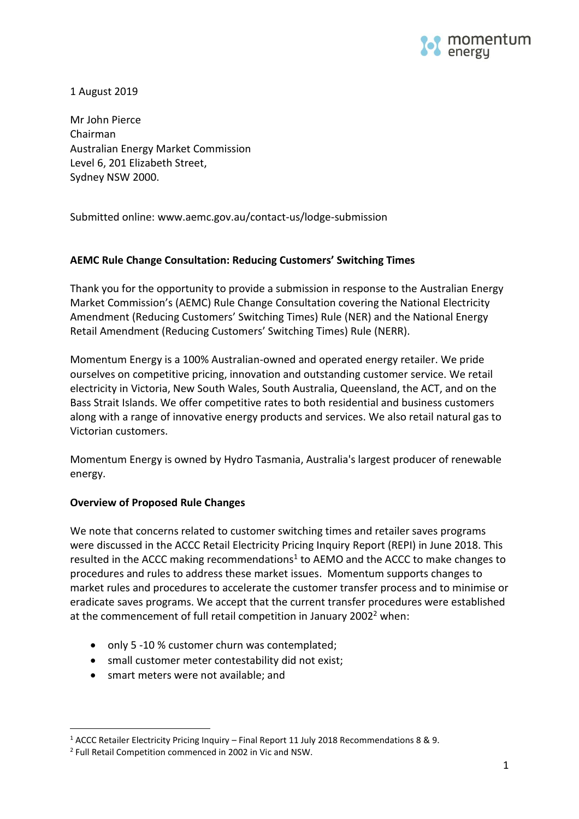

1 August 2019

Mr John Pierce Chairman Australian Energy Market Commission Level 6, 201 Elizabeth Street, Sydney NSW 2000.

Submitted online: www.aemc.gov.au/contact-us/lodge-submission

## **AEMC Rule Change Consultation: Reducing Customers' Switching Times**

Thank you for the opportunity to provide a submission in response to the Australian Energy Market Commission's (AEMC) Rule Change Consultation covering the National Electricity Amendment (Reducing Customers' Switching Times) Rule (NER) and the National Energy Retail Amendment (Reducing Customers' Switching Times) Rule (NERR).

Momentum Energy is a 100% Australian-owned and operated energy retailer. We pride ourselves on competitive pricing, innovation and outstanding customer service. We retail electricity in Victoria, New South Wales, South Australia, Queensland, the ACT, and on the Bass Strait Islands. We offer competitive rates to both residential and business customers along with a range of innovative energy products and services. We also retail natural gas to Victorian customers.

Momentum Energy is owned by [Hydro Tasmania,](http://www.momentumenergy.com.au/about-us/hydro-tasmania-group) Australia's largest producer of renewable energy.

## **Overview of Proposed Rule Changes**

We note that concerns related to customer switching times and retailer saves programs were discussed in the ACCC Retail Electricity Pricing Inquiry Report (REPI) in June 2018. This resulted in the ACCC making recommendations<sup>1</sup> to AEMO and the ACCC to make changes to procedures and rules to address these market issues. Momentum supports changes to market rules and procedures to accelerate the customer transfer process and to minimise or eradicate saves programs. We accept that the current transfer procedures were established at the commencement of full retail competition in January 2002<sup>2</sup> when:

- only 5 -10 % customer churn was contemplated;
- small customer meter contestability did not exist;
- smart meters were not available; and

 $\overline{a}$ 

<sup>1</sup> ACCC Retailer Electricity Pricing Inquiry – Final Report 11 July 2018 Recommendations 8 & 9.

<sup>&</sup>lt;sup>2</sup> Full Retail Competition commenced in 2002 in Vic and NSW.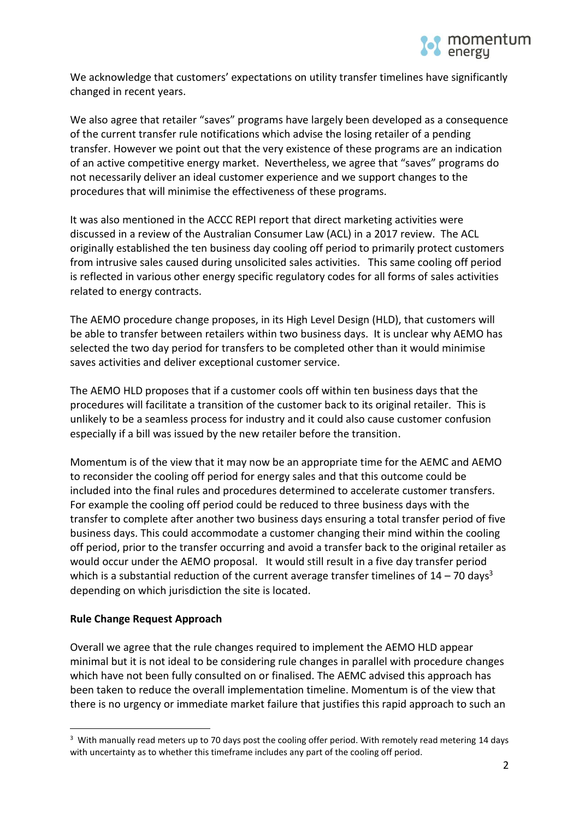

We acknowledge that customers' expectations on utility transfer timelines have significantly changed in recent years.

We also agree that retailer "saves" programs have largely been developed as a consequence of the current transfer rule notifications which advise the losing retailer of a pending transfer. However we point out that the very existence of these programs are an indication of an active competitive energy market. Nevertheless, we agree that "saves" programs do not necessarily deliver an ideal customer experience and we support changes to the procedures that will minimise the effectiveness of these programs.

It was also mentioned in the ACCC REPI report that direct marketing activities were discussed in a review of the Australian Consumer Law (ACL) in a 2017 review. The ACL originally established the ten business day cooling off period to primarily protect customers from intrusive sales caused during unsolicited sales activities. This same cooling off period is reflected in various other energy specific regulatory codes for all forms of sales activities related to energy contracts.

The AEMO procedure change proposes, in its High Level Design (HLD), that customers will be able to transfer between retailers within two business days. It is unclear why AEMO has selected the two day period for transfers to be completed other than it would minimise saves activities and deliver exceptional customer service.

The AEMO HLD proposes that if a customer cools off within ten business days that the procedures will facilitate a transition of the customer back to its original retailer. This is unlikely to be a seamless process for industry and it could also cause customer confusion especially if a bill was issued by the new retailer before the transition.

Momentum is of the view that it may now be an appropriate time for the AEMC and AEMO to reconsider the cooling off period for energy sales and that this outcome could be included into the final rules and procedures determined to accelerate customer transfers. For example the cooling off period could be reduced to three business days with the transfer to complete after another two business days ensuring a total transfer period of five business days. This could accommodate a customer changing their mind within the cooling off period, prior to the transfer occurring and avoid a transfer back to the original retailer as would occur under the AEMO proposal. It would still result in a five day transfer period which is a substantial reduction of the current average transfer timelines of  $14 - 70$  days<sup>3</sup> depending on which jurisdiction the site is located.

## **Rule Change Request Approach**

 $\overline{a}$ 

Overall we agree that the rule changes required to implement the AEMO HLD appear minimal but it is not ideal to be considering rule changes in parallel with procedure changes which have not been fully consulted on or finalised. The AEMC advised this approach has been taken to reduce the overall implementation timeline. Momentum is of the view that there is no urgency or immediate market failure that justifies this rapid approach to such an

 $3$  With manually read meters up to 70 days post the cooling offer period. With remotely read metering 14 days with uncertainty as to whether this timeframe includes any part of the cooling off period.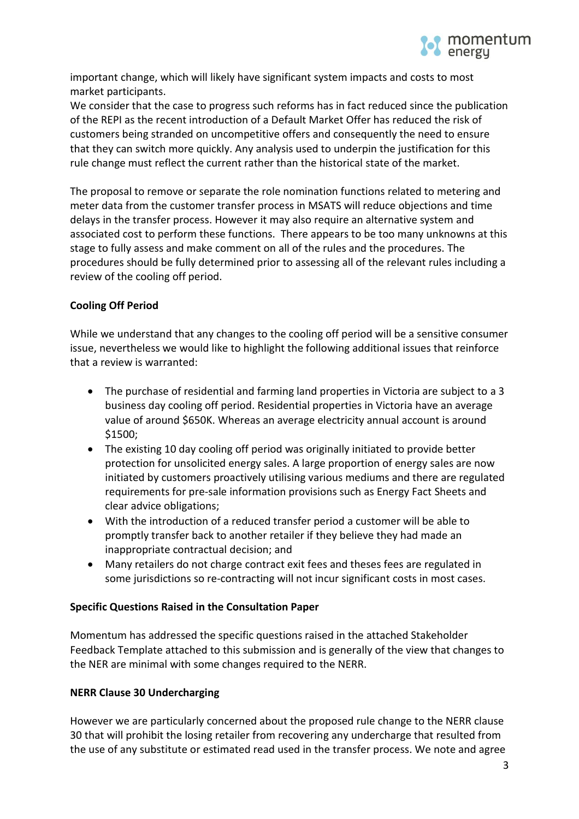

important change, which will likely have significant system impacts and costs to most market participants.

We consider that the case to progress such reforms has in fact reduced since the publication of the REPI as the recent introduction of a Default Market Offer has reduced the risk of customers being stranded on uncompetitive offers and consequently the need to ensure that they can switch more quickly. Any analysis used to underpin the justification for this rule change must reflect the current rather than the historical state of the market.

The proposal to remove or separate the role nomination functions related to metering and meter data from the customer transfer process in MSATS will reduce objections and time delays in the transfer process. However it may also require an alternative system and associated cost to perform these functions. There appears to be too many unknowns at this stage to fully assess and make comment on all of the rules and the procedures. The procedures should be fully determined prior to assessing all of the relevant rules including a review of the cooling off period.

# **Cooling Off Period**

While we understand that any changes to the cooling off period will be a sensitive consumer issue, nevertheless we would like to highlight the following additional issues that reinforce that a review is warranted:

- The purchase of residential and farming land properties in Victoria are subject to a 3 business day cooling off period. Residential properties in Victoria have an average value of around \$650K. Whereas an average electricity annual account is around \$1500;
- The existing 10 day cooling off period was originally initiated to provide better protection for unsolicited energy sales. A large proportion of energy sales are now initiated by customers proactively utilising various mediums and there are regulated requirements for pre-sale information provisions such as Energy Fact Sheets and clear advice obligations;
- With the introduction of a reduced transfer period a customer will be able to promptly transfer back to another retailer if they believe they had made an inappropriate contractual decision; and
- Many retailers do not charge contract exit fees and theses fees are regulated in some jurisdictions so re-contracting will not incur significant costs in most cases.

## **Specific Questions Raised in the Consultation Paper**

Momentum has addressed the specific questions raised in the attached Stakeholder Feedback Template attached to this submission and is generally of the view that changes to the NER are minimal with some changes required to the NERR.

## **NERR Clause 30 Undercharging**

However we are particularly concerned about the proposed rule change to the NERR clause 30 that will prohibit the losing retailer from recovering any undercharge that resulted from the use of any substitute or estimated read used in the transfer process. We note and agree